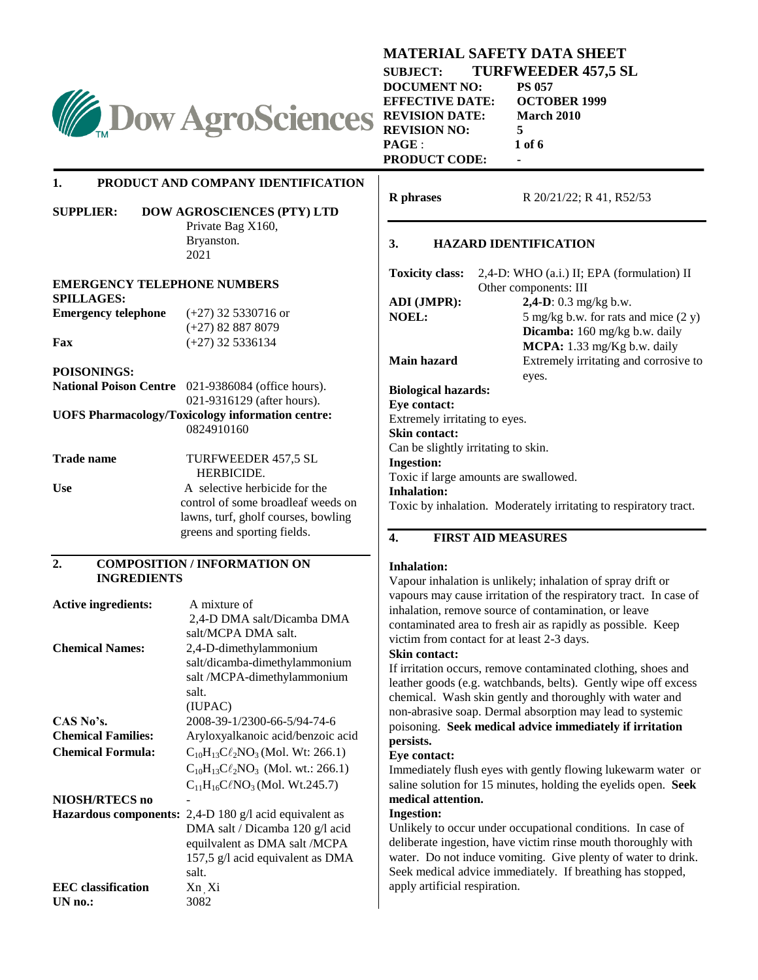

#### **MATERIAL SAFETY DATA SHEET**

**SUBJECT: TURFWEEDER 457,5 SL**<br>DOCUMENT NO: PS 057 **DOCUMENT NO: PS 057<br>EFFECTIVE DATE: OCTOBER 1999 EFFECTIVE DATE: REVISION DATE: March 2010 REVISION NO: 5 PAGE** : **1 of 6 PRODUCT CODE: -**

### **1. PRODUCT AND COMPANY IDENTIFICATION**

### **SUPPLIER: DOW AGROSCIENCES (PTY) LTD**

Private Bag X160, Bryanston. 2021

#### **EMERGENCY TELEPHONE NUMBERS SPILLAGES:**

**Emergency telephone** (+27) 32 5330716 or

# (+27) 82 887 8079 **Fax** (+27) 32 5336134

### **POISONINGS:**

| <b>National Poison Centre</b> 021-9386084 (office hours). |
|-----------------------------------------------------------|
| 021-9316129 (after hours).                                |

**UOFS Pharmacology/Toxicology information centre:**  0824910160

| <b>Trade name</b> | TURFWEEDER 457.5 SL                 |
|-------------------|-------------------------------------|
|                   | HERBICIDE.                          |
| <b>Use</b>        | A selective herbicide for the       |
|                   | control of some broadleaf weeds on  |
|                   | lawns, turf, gholf courses, bowling |
|                   | greens and sporting fields.         |

#### **2. COMPOSITION / INFORMATION ON INGREDIENTS**

| <b>Active ingredients:</b>   | A mixture of                                |
|------------------------------|---------------------------------------------|
|                              | 2,4-D DMA salt/Dicamba DMA                  |
|                              | salt/MCPA DMA salt.                         |
| <b>Chemical Names:</b>       | 2,4-D-dimethylammonium                      |
|                              | salt/dicamba-dimethylammonium               |
|                              | salt /MCPA-dimethylammonium                 |
|                              | salt.                                       |
|                              | (IUPAC)                                     |
| CAS No's.                    | 2008-39-1/2300-66-5/94-74-6                 |
| <b>Chemical Families:</b>    | Aryloxyalkanoic acid/benzoic acid           |
| <b>Chemical Formula:</b>     | $C_{10}H_{13}C\ell_2NO_3( Mol. Wt: 266.1)$  |
|                              | $C_{10}H_{13}C\ell_2NO_3$ (Mol. wt.: 266.1) |
|                              | $C_{11}H_{16}C\ell NO_3( Mol. Wt.245.7)$    |
| NIOSH/RTECS no               |                                             |
| <b>Hazardous components:</b> | 2,4-D 180 $g/l$ acid equivalent as          |
|                              | DMA salt / Dicamba 120 g/l acid             |
|                              | equilvalent as DMA salt /MCPA               |
|                              | 157,5 g/l acid equivalent as DMA            |
|                              | salt.                                       |
| <b>EEC</b> classification    | Xn Xi                                       |
| UN no.:                      | 3082                                        |

**R phrases** R 20/21/22; R 41, R52/53

### **3. HAZARD IDENTIFICATION**

| <b>Toxicity class:</b>              | 2,4-D: WHO (a.i.) II; EPA (formulation) II |
|-------------------------------------|--------------------------------------------|
|                                     | Other components: III                      |
| ADI (JMPR):                         | <b>2,4-D</b> : $0.3 \text{ mg/kg b.w.}$    |
| <b>NOEL:</b>                        | 5 mg/kg b.w. for rats and mice $(2 y)$     |
|                                     | <b>Dicamba:</b> 160 mg/kg b.w. daily       |
|                                     | <b>MCPA:</b> 1.33 mg/Kg b.w. daily         |
| Main hazard                         | Extremely irritating and corrosive to      |
|                                     | eyes.                                      |
| <b>Biological hazards:</b>          |                                            |
| <b>Eve contact:</b>                 |                                            |
| Extremely irritating to eyes.       |                                            |
| <b>Skin contact:</b>                |                                            |
| Can be slightly irritating to skin. |                                            |
| <b>Ingestion:</b>                   |                                            |

Toxic if large amounts are swallowed.

#### **Inhalation:**

Toxic by inhalation. Moderately irritating to respiratory tract.

### **4. FIRST AID MEASURES**

### **Inhalation:**

Vapour inhalation is unlikely; inhalation of spray drift or vapours may cause irritation of the respiratory tract. In case of inhalation, remove source of contamination, or leave contaminated area to fresh air as rapidly as possible. Keep victim from contact for at least 2-3 days.

#### **Skin contact:**

If irritation occurs, remove contaminated clothing, shoes and leather goods (e.g. watchbands, belts). Gently wipe off excess chemical. Wash skin gently and thoroughly with water and non-abrasive soap. Dermal absorption may lead to systemic poisoning. **Seek medical advice immediately if irritation persists.**

### **Eye contact:**

Immediately flush eyes with gently flowing lukewarm water or saline solution for 15 minutes, holding the eyelids open. **Seek medical attention.**

### **Ingestion:**

Unlikely to occur under occupational conditions. In case of deliberate ingestion, have victim rinse mouth thoroughly with water. Do not induce vomiting. Give plenty of water to drink. Seek medical advice immediately. If breathing has stopped, apply artificial respiration.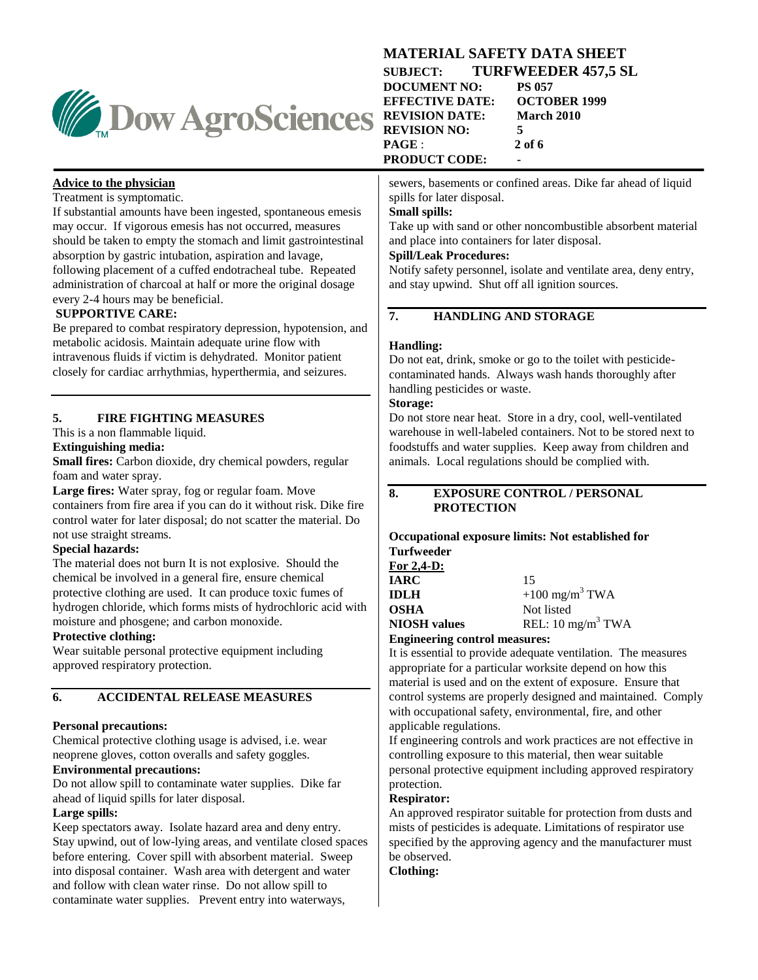

# **MATERIAL SAFETY DATA SHEET**

**SUBJECT: TURFWEEDER 457,5 SL DOCUMENT NO: PS 057<br>EFFECTIVE DATE: OCTOBER 1999 EFFECTIVE DATE: REVISION DATE: March 2010 REVISION NO: 5 PAGE** : **2 of 6 PRODUCT CODE: -**

sewers, basements or confined areas. Dike far ahead of liquid spills for later disposal.

#### **Small spills:**

Take up with sand or other noncombustible absorbent material and place into containers for later disposal.

### **Spill/Leak Procedures:**

Notify safety personnel, isolate and ventilate area, deny entry, and stay upwind. Shut off all ignition sources.

### **7. HANDLING AND STORAGE**

### **Handling:**

Do not eat, drink, smoke or go to the toilet with pesticidecontaminated hands. Always wash hands thoroughly after handling pesticides or waste.

### **Storage:**

Do not store near heat. Store in a dry, cool, well-ventilated warehouse in well-labeled containers. Not to be stored next to foodstuffs and water supplies. Keep away from children and animals. Local regulations should be complied with.

#### **8. EXPOSURE CONTROL / PERSONAL PROTECTION**

#### **Occupational exposure limits: Not established for Turfweeder**

| For $2,4$ -D:                        |                               |
|--------------------------------------|-------------------------------|
| <b>IARC</b>                          | 15                            |
| <b>IDLH</b>                          | $+100$ mg/m <sup>3</sup> TWA  |
| <b>OSHA</b>                          | Not listed                    |
| <b>NIOSH</b> values                  | REL: 10 mg/m <sup>3</sup> TWA |
| <b>Engineering control measures:</b> |                               |

It is essential to provide adequate ventilation. The measures appropriate for a particular worksite depend on how this material is used and on the extent of exposure. Ensure that control systems are properly designed and maintained. Comply with occupational safety, environmental, fire, and other applicable regulations.

If engineering controls and work practices are not effective in controlling exposure to this material, then wear suitable personal protective equipment including approved respiratory protection.

### **Respirator:**

An approved respirator suitable for protection from dusts and mists of pesticides is adequate. Limitations of respirator use specified by the approving agency and the manufacturer must be observed.

**Clothing:**

### **Advice to the physician**

Treatment is symptomatic.

If substantial amounts have been ingested, spontaneous emesis may occur. If vigorous emesis has not occurred, measures should be taken to empty the stomach and limit gastrointestinal absorption by gastric intubation, aspiration and lavage, following placement of a cuffed endotracheal tube. Repeated administration of charcoal at half or more the original dosage every 2-4 hours may be beneficial.

### **SUPPORTIVE CARE:**

Be prepared to combat respiratory depression, hypotension, and metabolic acidosis. Maintain adequate urine flow with intravenous fluids if victim is dehydrated. Monitor patient closely for cardiac arrhythmias, hyperthermia, and seizures.

### **5. FIRE FIGHTING MEASURES**

This is a non flammable liquid.

### **Extinguishing media:**

**Small fires:** Carbon dioxide, dry chemical powders, regular foam and water spray.

**Large fires:** Water spray, fog or regular foam. Move containers from fire area if you can do it without risk. Dike fire control water for later disposal; do not scatter the material. Do not use straight streams.

### **Special hazards:**

The material does not burn It is not explosive. Should the chemical be involved in a general fire, ensure chemical protective clothing are used. It can produce toxic fumes of hydrogen chloride, which forms mists of hydrochloric acid with moisture and phosgene; and carbon monoxide.

### **Protective clothing:**

Wear suitable personal protective equipment including approved respiratory protection.

### **6. ACCIDENTAL RELEASE MEASURES**

### **Personal precautions:**

Chemical protective clothing usage is advised, i.e. wear neoprene gloves, cotton overalls and safety goggles.

### **Environmental precautions:**

Do not allow spill to contaminate water supplies. Dike far ahead of liquid spills for later disposal.

### **Large spills:**

Keep spectators away. Isolate hazard area and deny entry. Stay upwind, out of low-lying areas, and ventilate closed spaces before entering. Cover spill with absorbent material. Sweep into disposal container. Wash area with detergent and water and follow with clean water rinse. Do not allow spill to contaminate water supplies. Prevent entry into waterways,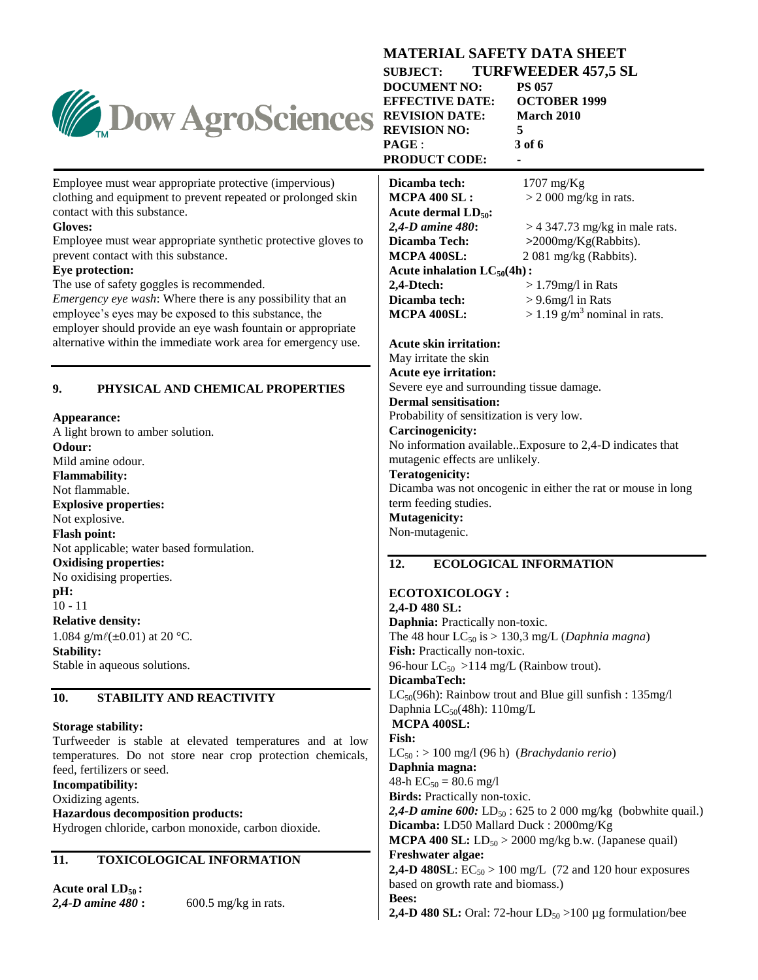| <b>Dow AgroSciences</b>                                                                                                                                                                                                                                                                                                                                                                                                                                                                                                                                                                                  | <b>SUBJECT:</b><br><b>DOCUMENT NO:</b><br><b>EFFECTIVE DATE:</b><br><b>REVISION DATE:</b><br><b>REVISION NO:</b><br>PAGE:<br><b>PRODUCT CODE:</b>                                                                                                                                                                                                                                                                                                                                                                                                                                        | <b>TURFWEEDER 457,5 SL</b><br><b>PS 057</b><br><b>OCTOBER 1999</b><br>March 2010<br>5<br>3 of 6                                                                                                                                 |
|----------------------------------------------------------------------------------------------------------------------------------------------------------------------------------------------------------------------------------------------------------------------------------------------------------------------------------------------------------------------------------------------------------------------------------------------------------------------------------------------------------------------------------------------------------------------------------------------------------|------------------------------------------------------------------------------------------------------------------------------------------------------------------------------------------------------------------------------------------------------------------------------------------------------------------------------------------------------------------------------------------------------------------------------------------------------------------------------------------------------------------------------------------------------------------------------------------|---------------------------------------------------------------------------------------------------------------------------------------------------------------------------------------------------------------------------------|
| Employee must wear appropriate protective (impervious)<br>clothing and equipment to prevent repeated or prolonged skin<br>contact with this substance.<br>Gloves:<br>Employee must wear appropriate synthetic protective gloves to<br>prevent contact with this substance.<br>Eye protection:<br>The use of safety goggles is recommended.<br><i>Emergency eye wash:</i> Where there is any possibility that an<br>employee's eyes may be exposed to this substance, the<br>employer should provide an eye wash fountain or appropriate<br>alternative within the immediate work area for emergency use. | Dicamba tech:<br><b>MCPA 400 SL:</b><br>Acute dermal $LD_{50}$ :<br>2,4-D amine 480:<br>Dicamba Tech:<br>MCPA 400SL:<br>Acute inhalation $LC_{50}(4h)$ :<br>2,4-Dtech:<br>Dicamba tech:<br>MCPA 400SL:<br><b>Acute skin irritation:</b><br>May irritate the skin                                                                                                                                                                                                                                                                                                                         | $1707$ mg/Kg<br>$>$ 2 000 mg/kg in rats.<br>$>$ 4 347.73 mg/kg in male rats.<br>$>$ 2000mg/Kg(Rabbits).<br>2 081 mg/kg (Rabbits).<br>$>1.79$ mg/l in Rats<br>$> 9.6$ mg/l in Rats<br>$> 1.19$ g/m <sup>3</sup> nominal in rats. |
| 9.<br>PHYSICAL AND CHEMICAL PROPERTIES<br>Appearance:<br>A light brown to amber solution.<br>Odour:<br>Mild amine odour.<br><b>Flammability:</b><br>Not flammable.<br><b>Explosive properties:</b><br>Not explosive.<br><b>Flash point:</b><br>Not applicable; water based formulation.                                                                                                                                                                                                                                                                                                                  | <b>Acute eye irritation:</b><br>Severe eye and surrounding tissue damage.<br><b>Dermal sensitisation:</b><br>Probability of sensitization is very low.<br>Carcinogenicity:<br>mutagenic effects are unlikely.<br><b>Teratogenicity:</b><br>term feeding studies.<br><b>Mutagenicity:</b><br>Non-mutagenic.                                                                                                                                                                                                                                                                               | No information available. Exposure to 2,4-D indicates that<br>Dicamba was not oncogenic in either the rat or mouse in long                                                                                                      |
| <b>Oxidising properties:</b><br>No oxidising properties.<br>pH:<br>$10 - 11$<br><b>Relative density:</b><br>1.084 g/m $\ell(\pm 0.01)$ at 20 °C.<br><b>Stability:</b><br>Stable in aqueous solutions.                                                                                                                                                                                                                                                                                                                                                                                                    | 12.<br><b>ECOTOXICOLOGY:</b><br>2,4-D 480 SL:<br>Daphnia: Practically non-toxic.<br>Fish: Practically non-toxic.<br>96-hour LC <sub>50</sub> > 114 mg/L (Rainbow trout).<br>DicambaTech:                                                                                                                                                                                                                                                                                                                                                                                                 | <b>ECOLOGICAL INFORMATION</b><br>The 48 hour LC <sub>50</sub> is > 130,3 mg/L ( <i>Daphnia magna</i> )                                                                                                                          |
| 10.<br>STABILITY AND REACTIVITY<br><b>Storage stability:</b><br>Turfweeder is stable at elevated temperatures and at low<br>temperatures. Do not store near crop protection chemicals,<br>feed, fertilizers or seed.<br>Incompatibility:<br>Oxidizing agents.<br><b>Hazardous decomposition products:</b><br>Hydrogen chloride, carbon monoxide, carbon dioxide.<br>TOXICOLOGICAL INFORMATION<br>11.                                                                                                                                                                                                     | LC <sub>50</sub> (96h): Rainbow trout and Blue gill sunfish : 135mg/l<br>Daphnia $LC_{50}(48h)$ : 110mg/L<br>MCPA 400SL:<br><b>Fish:</b><br>$LC_{50}$ : > 100 mg/l (96 h) (Brachydanio rerio)<br>Daphnia magna:<br>48-h $EC_{50} = 80.6$ mg/l<br><b>Birds:</b> Practically non-toxic.<br><b>2,4-D amine 600:</b> LD <sub>50</sub> : 625 to 2 000 mg/kg (bobwhite quail.)<br>Dicamba: LD50 Mallard Duck: 2000mg/Kg<br><b>MCPA 400 SL:</b> $LD_{50} > 2000$ mg/kg b.w. (Japanese quail)<br><b>Freshwater algae:</b><br><b>2,4-D 480SL:</b> $EC_{50} > 100$ mg/L (72 and 120 hour exposures |                                                                                                                                                                                                                                 |
| Acute oral $LD_{50}$ :<br>$600.5$ mg/kg in rats.<br>2,4-D amine 480 :                                                                                                                                                                                                                                                                                                                                                                                                                                                                                                                                    | based on growth rate and biomass.)<br>Bees:                                                                                                                                                                                                                                                                                                                                                                                                                                                                                                                                              | <b>2,4-D 480 SL:</b> Oral: 72-hour $LD_{50} > 100 \mu g$ formulation/bee                                                                                                                                                        |

**MATERIAL SAFETY DATA SHEET**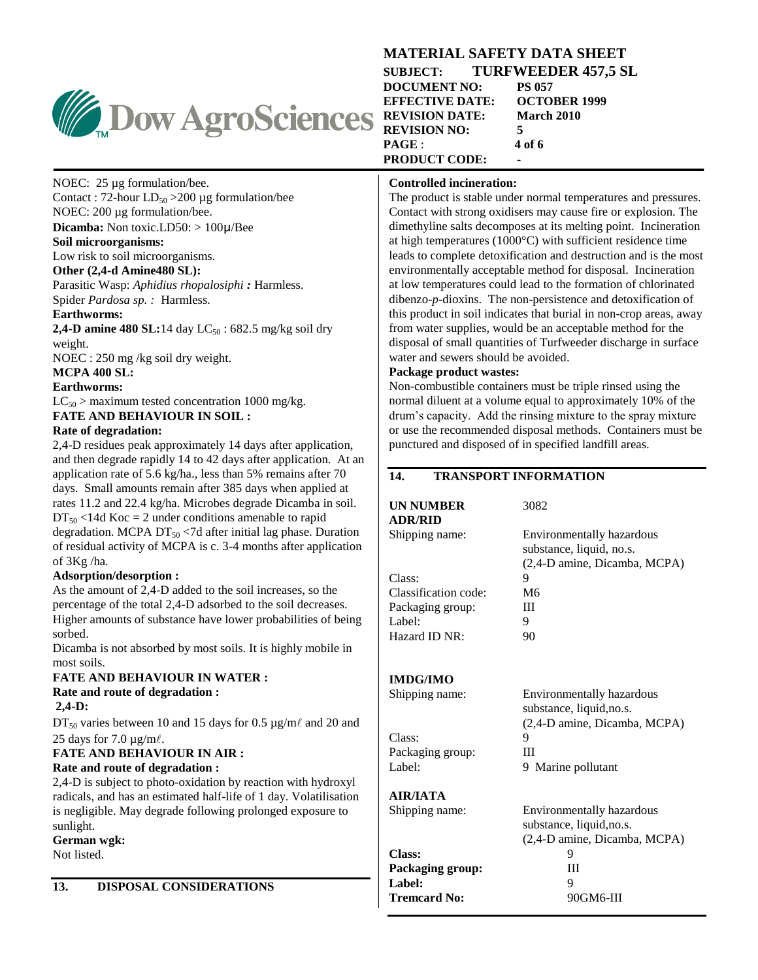

### **MATERIAL SAFETY DATA SHEET SUBJECT: TURFWEEDER 457,5 SL DOCUMENT NO: PS 057<br>EFFECTIVE DATE: OCTOBER 1999 EFFECTIVE DATE: REVISION DATE: March 2010 REVISION NO: 5 PAGE** : **4 of 6 PRODUCT CODE: -**

### **Controlled incineration:**

The product is stable under normal temperatures and pressures. Contact with strong oxidisers may cause fire or explosion. The dimethyline salts decomposes at its melting point. Incineration at high temperatures (1000°C) with sufficient residence time leads to complete detoxification and destruction and is the most environmentally acceptable method for disposal. Incineration at low temperatures could lead to the formation of chlorinated dibenzo-*p*-dioxins. The non-persistence and detoxification of this product in soil indicates that burial in non-crop areas, away from water supplies, would be an acceptable method for the disposal of small quantities of Turfweeder discharge in surface water and sewers should be avoided.

### **Package product wastes:**

Non-combustible containers must be triple rinsed using the normal diluent at a volume equal to approximately 10% of the drum's capacity. Add the rinsing mixture to the spray mixture or use the recommended disposal methods. Containers must be punctured and disposed of in specified landfill areas.

### **14. TRANSPORT INFORMATION**

#### **UN NUMBER** 3082 **ADR/RID**

Shipping name: Environmentally hazardous substance, liquid, no.s. (2,4-D amine, Dicamba, MCPA) Class: 9 Classification code: M6 Packaging group: III Label: 9

### **IMDG/IMO**

Class: 9 Packaging group: III Label: 9 Marine pollutant

Hazard ID NR: 90

Shipping name: Environmentally hazardous substance, liquid,no.s. (2,4-D amine, Dicamba, MCPA)

substance, liquid,no.s.

## **AIR/IATA**

Shipping name: Environmentally hazardous

(2,4-D amine, Dicamba, MCPA) **Class:** 9 **Packaging group:** III **Label:** 9 Tremcard No: 90GM6-III

NOEC: 25 µg formulation/bee. Contact : 72-hour  $LD_{50} > 200 \mu g$  formulation/bee

### NOEC: 200 µg formulation/bee. **Dicamba:** Non toxic.LD50: > 100µ/Bee

### **Soil microorganisms:**

Low risk to soil microorganisms.

### **Other (2,4-d Amine480 SL):**

Parasitic Wasp: *Aphidius rhopalosiphi :* Harmless. Spider *Pardosa sp. :* Harmless.

### **Earthworms:**

**2,4-D amine 480 SL:**14 day  $LC_{50}$ : 682.5 mg/kg soil dry weight.

NOEC : 250 mg /kg soil dry weight.

**MCPA 400 SL:**

### **Earthworms:**

 $LC_{50}$  > maximum tested concentration 1000 mg/kg. **FATE AND BEHAVIOUR IN SOIL :** 

### **Rate of degradation:**

2,4-D residues peak approximately 14 days after application, and then degrade rapidly 14 to 42 days after application. At an application rate of 5.6 kg/ha., less than 5% remains after 70 days. Small amounts remain after 385 days when applied at rates 11.2 and 22.4 kg/ha. Microbes degrade Dicamba in soil.  $DT_{50}$  <14d Koc = 2 under conditions amenable to rapid degradation. MCPA  $DT_{50}$  <7d after initial lag phase. Duration of residual activity of MCPA is c. 3-4 months after application of 3Kg /ha.

### **Adsorption/desorption :**

As the amount of 2,4-D added to the soil increases, so the percentage of the total 2,4-D adsorbed to the soil decreases. Higher amounts of substance have lower probabilities of being sorbed.

Dicamba is not absorbed by most soils. It is highly mobile in most soils.

### **FATE AND BEHAVIOUR IN WATER : Rate and route of degradation : 2,4-D:**

 $DT_{50}$  varies between 10 and 15 days for 0.5 µg/m $\ell$  and 20 and 25 days for 7.0  $\mu$ g/m $\ell$ .

#### **FATE AND BEHAVIOUR IN AIR : Rate and route of degradation :**

2,4-D is subject to photo-oxidation by reaction with hydroxyl radicals, and has an estimated half-life of 1 day. Volatilisation is negligible. May degrade following prolonged exposure to sunlight.

**German wgk:**

Not listed.

**13. DISPOSAL CONSIDERATIONS**